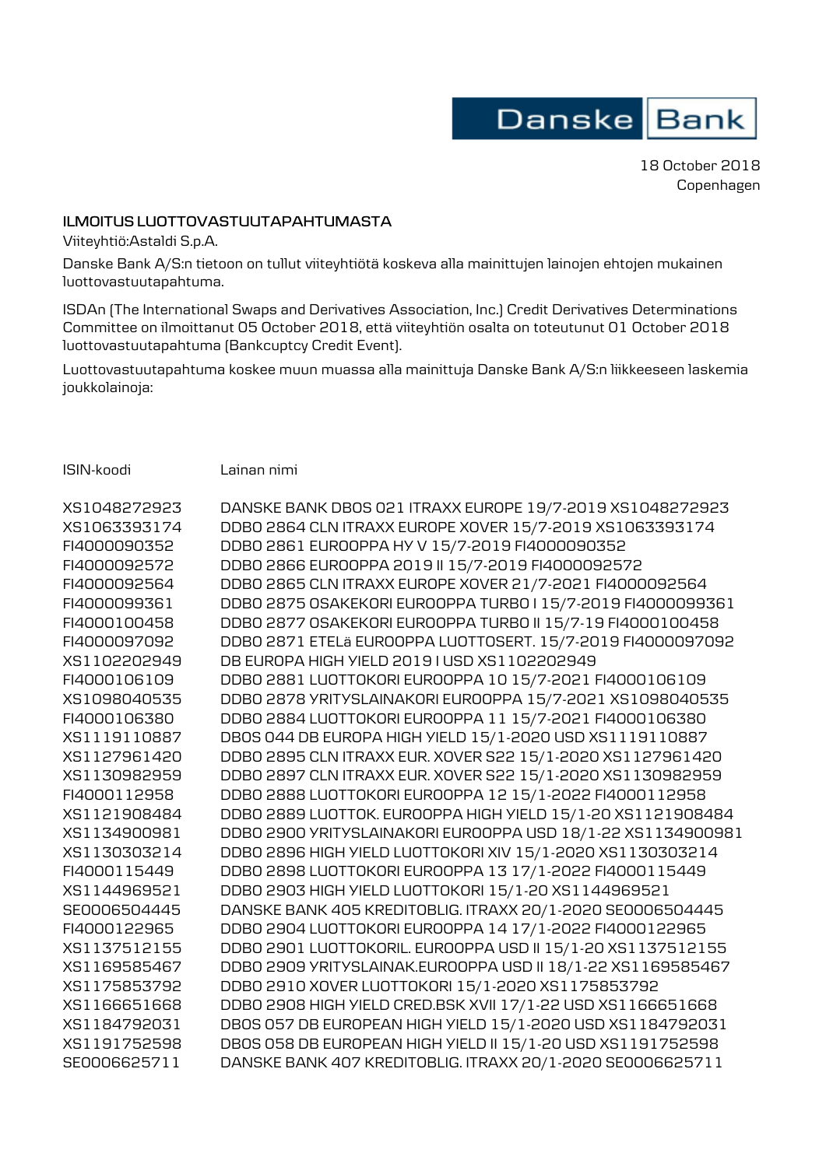Danske Bank

18 October 2018 Copenhagen

## **ILMOITUS LUOTTOVASTUUTAPAHTUMASTA**

Viiteyhtiö:Astaldi S.p.A.

Danske Bank A/S:n tietoon on tullut viiteyhtiötä koskeva alla mainittujen lainojen ehtojen mukainen luottovastuutapahtuma.

ISDAn (The International Swaps and Derivatives Association, Inc.) Credit Derivatives Determinations Committee on ilmoittanut 05 October 2018, että viiteyhtiön osalta on toteutunut 01 October 2018 luottovastuutapahtuma (Bankcuptcy Credit Event).

Luottovastuutapahtuma koskee muun muassa alla mainittuja Danske Bank A/S:n liikkeeseen laskemia joukkolainoja:

## ISIN-koodi Lainan nimi

| XS1048272923 | DANSKE BANK DBOS 021 ITRAXX EUROPE 19/7-2019 XS1048272923   |
|--------------|-------------------------------------------------------------|
| XS1063393174 | DDB0 2864 CLN ITRAXX EUROPE XOVER 15/7-2019 XS1063393174    |
| FI4000090352 | DDB0 2861 EUROOPPA HY V 15/7-2019 FI4000090352              |
| FI4000092572 | DDB0 2866 EUROOPPA 2019    15/7-2019 FI4000092572           |
| FI4000092564 | DDB0 2865 CLN ITRAXX EUROPE XOVER 21/7-2021 FI4000092564    |
| FI4000099361 | DDB0 2875 0SAKEKORI EUROOPPA TURB0   15/7-2019 FI4000099361 |
| FI4000100458 | DDB0 2877 OSAKEKORI EUROOPPA TURBO II 15/7-19 FI4000100458  |
| FI4000097092 | DDB0 2871 ETELä EUROOPPA LUOTTOSERT. 15/7-2019 FI4000097092 |
| XS1102202949 | DB EUROPA HIGH YIELD 2019 I USD XS1102202949                |
| FI4000106109 | DDB0 2881 LU0TT0K0RI EUROOPPA 10 15/7-2021 FI4000106109     |
| XS1098040535 | DDB0 2878 YRITYSLAINAKORI EUROOPPA 15/7-2021 XS1098040535   |
| FI4000106380 | DDB0 2884 LU0TT0K0RI EUR00PPA 11 15/7-2021 FI4000106380     |
| XS1119110887 | DBOS 044 DB EUROPA HIGH YIELD 15/1-2020 USD XS1119110887    |
| XS1127961420 | DDB0 2895 CLN ITRAXX EUR. XOVER S22 15/1-2020 XS1127961420  |
| XS1130982959 | DDB0 2897 CLN ITRAXX EUR. XOVER S22 15/1-2020 XS1130982959  |
| FI4000112958 | DDB0 2888 LUOTTOKORI EUROOPPA 12 15/1-2022 FI4000112958     |
| XS1121908484 | DDB0 2889 LUOTTOK. EUROOPPA HIGH YIELD 15/1-20 XS1121908484 |
| XS1134900981 | DDBO 2900 YRITYSLAINAKORI EUROOPPA USD 18/1-22 XS1134900981 |
| XS1130303214 | DDB0 2896 HIGH YIELD LUOTTOKORI XIV 15/1-2020 XS1130303214  |
| FI4000115449 | DDB0 2898 LU0TT0KORI EUROOPPA 13 17/1-2022 FI4000115449     |
| XS1144969521 | DDB0 2903 HIGH YIELD LUOTTOKORI 15/1-20 XS1144969521        |
| SE0006504445 | DANSKE BANK 405 KREDITOBLIG. ITRAXX 20/1-2020 SE0006504445  |
| FI4000122965 | DDB0 2904 LU0TT0KORI EUROOPPA 14 17/1-2022 FI4000122965     |
| XS1137512155 | DDB0 2901 LUOTTOKORIL. EUROOPPA USD II 15/1-20 XS1137512155 |
| XS1169585467 | DDB0 2909 YRITYSLAINAK.EUROOPPA USD II 18/1-22 XS1169585467 |
| XS1175853792 | DDB0 2910 XOVER LUOTTOKORI 15/1-2020 XS1175853792           |
| XS1166651668 | DDB0 2908 HIGH YIELD CRED.BSK XVII 17/1-22 USD XS1166651668 |
| XS1184792031 | DBOS 057 DB EUROPEAN HIGH YIELD 15/1-2020 USD XS1184792031  |
| XS1191752598 | DBOS 058 DB EUROPEAN HIGH YIELD II 15/1-20 USD XS1191752598 |
| SE0006625711 | DANSKE BANK 407 KREDITOBLIG. ITRAXX 20/1-2020 SE0006625711  |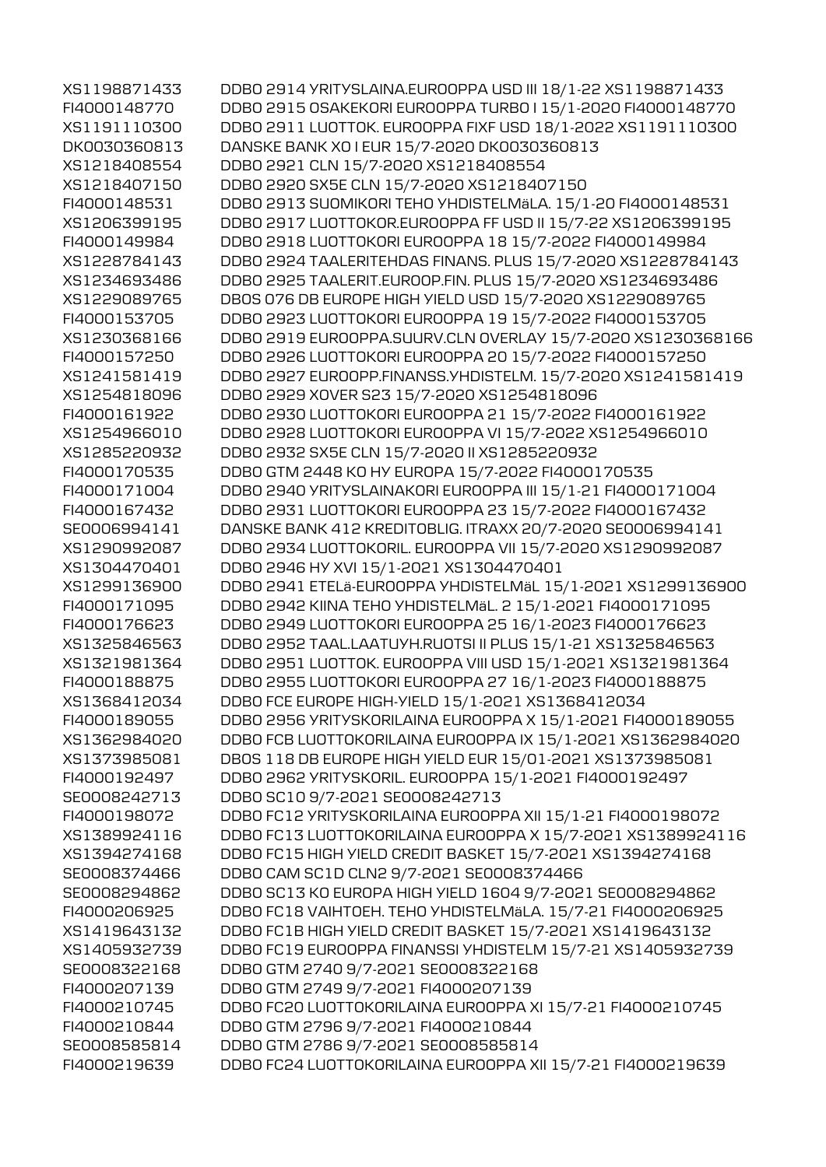XS1198871433 DDBO 2914 YRITYSLAINA.EUROOPPA USD III 18/1-22 XS1198871433 FI4000148770 DDBO 2915 OSAKEKORI EUROOPPA TURBO I 15/1-2020 FI4000148770 XS1191110300 DDBO 2911 LUOTTOK. EUROOPPA FIXF USD 18/1-2022 XS1191110300 DK0030360813 DANSKE BANK XO I EUR 15/7-2020 DK0030360813 XS1218408554 DDBO 2921 CLN 15/7-2020 XS1218408554 XS1218407150 DDBO 2920 SX5E CLN 15/7-2020 XS1218407150 FI4000148531 DDBO 2913 SUOMIKORI TEHO YHDISTELMäLA. 15/1-20 FI4000148531 XS1206399195 DDBO 2917 LUOTTOKOR.EUROOPPA FF USD II 15/7-22 XS1206399195 FI4000149984 DDBO 2918 LUOTTOKORI EUROOPPA 18 15/7-2022 FI4000149984 XS1228784143 DDBO 2924 TAALERITEHDAS FINANS. PLUS 15/7-2020 XS1228784143 XS1234693486 DDBO 2925 TAALERIT.EUROOP.FIN. PLUS 15/7-2020 XS1234693486 XS1229089765 DBOS 076 DB EUROPE HIGH YIELD USD 15/7-2020 XS1229089765 FI4000153705 DDBO 2923 LUOTTOKORI EUROOPPA 19 15/7-2022 FI4000153705 XS1230368166 DDBO 2919 EUROOPPA.SUURV.CLN OVERLAY 15/7-2020 XS1230368166 FI4000157250 DDBO 2926 LUOTTOKORI EUROOPPA 20 15/7-2022 FI4000157250 XS1241581419 DDBO 2927 EUROOPP.FINANSS.YHDISTELM. 15/7-2020 XS1241581419 XS1254818096 DDBO 2929 XOVER S23 15/7-2020 XS1254818096 FI4000161922 DDBO 2930 LUOTTOKORI EUROOPPA 21 15/7-2022 FI4000161922 XS1254966010 DDBO 2928 LUOTTOKORI EUROOPPA VI 15/7-2022 XS1254966010 XS1285220932 DDBO 2932 SX5E CLN 15/7-2020 II XS1285220932 FI4000170535 DDBO GTM 2448 KO HY EUROPA 15/7-2022 FI4000170535 FI4000171004 DDBO 2940 YRITYSLAINAKORI EUROOPPA III 15/1-21 FI4000171004 FI4000167432 DDBO 2931 LUOTTOKORI EUROOPPA 23 15/7-2022 FI4000167432 SE0006994141 DANSKE BANK 412 KREDITOBLIG. ITRAXX 20/7-2020 SE0006994141 XS1290992087 DDBO 2934 LUOTTOKORIL. EUROOPPA VII 15/7-2020 XS1290992087 XS1304470401 DDBO 2946 HY XVI 15/1-2021 XS1304470401 XS1299136900 DDBO 2941 ETELä-EUROOPPA YHDISTELMäL 15/1-2021 XS1299136900 FI4000171095 DDBO 2942 KIINA TEHO YHDISTELMäL. 2 15/1-2021 FI4000171095 FI4000176623 DDBO 2949 LUOTTOKORI EUROOPPA 25 16/1-2023 FI4000176623 XS1325846563 DDBO 2952 TAAL.LAATUYH.RUOTSI II PLUS 15/1-21 XS1325846563 XS1321981364 DDBO 2951 LUOTTOK. EUROOPPA VIII USD 15/1-2021 XS1321981364 FI4000188875 DDBO 2955 LUOTTOKORI EUROOPPA 27 16/1-2023 FI4000188875 XS1368412034 DDBO FCE EUROPE HIGH-YIELD 15/1-2021 XS1368412034 FI4000189055 DDBO 2956 YRITYSKORILAINA EUROOPPA X 15/1-2021 FI4000189055 XS1362984020 DDBO FCB LUOTTOKORILAINA EUROOPPA IX 15/1-2021 XS1362984020 XS1373985081 DBOS 118 DB EUROPE HIGH YIELD EUR 15/01-2021 XS1373985081 FI4000192497 DDBO 2962 YRITYSKORIL. EUROOPPA 15/1-2021 FI4000192497 SE0008242713 DDBO SC10 9/7-2021 SE0008242713 FI4000198072 DDBO FC12 YRITYSKORILAINA EUROOPPA XII 15/1-21 FI4000198072 XS1389924116 DDBO FC13 LUOTTOKORILAINA EUROOPPA X 15/7-2021 XS1389924116 XS1394274168 DDBO FC15 HIGH YIELD CREDIT BASKET 15/7-2021 XS1394274168 SE0008374466 DDBO CAM SC1D CLN2 9/7-2021 SE0008374466 SE0008294862 DDBO SC13 KO EUROPA HIGH YIELD 1604 9/7-2021 SE0008294862 FI4000206925 DDBO FC18 VAIHTOEH. TEHO YHDISTELMäLA. 15/7-21 FI4000206925 XS1419643132 DDBO FC1B HIGH YIELD CREDIT BASKET 15/7-2021 XS1419643132 XS1405932739 DDBO FC19 EUROOPPA FINANSSI YHDISTELM 15/7-21 XS1405932739 SE0008322168 DDBO GTM 2740 9/7-2021 SE0008322168 FI4000207139 DDBO GTM 2749 9/7-2021 FI4000207139 FI4000210745 DDBO FC20 LUOTTOKORILAINA EUROOPPA XI 15/7-21 FI4000210745 FI4000210844 DDBO GTM 2796 9/7-2021 FI4000210844 SE0008585814 DDBO GTM 2786 9/7-2021 SE0008585814 FI4000219639 DDBO FC24 LUOTTOKORILAINA EUROOPPA XII 15/7-21 FI4000219639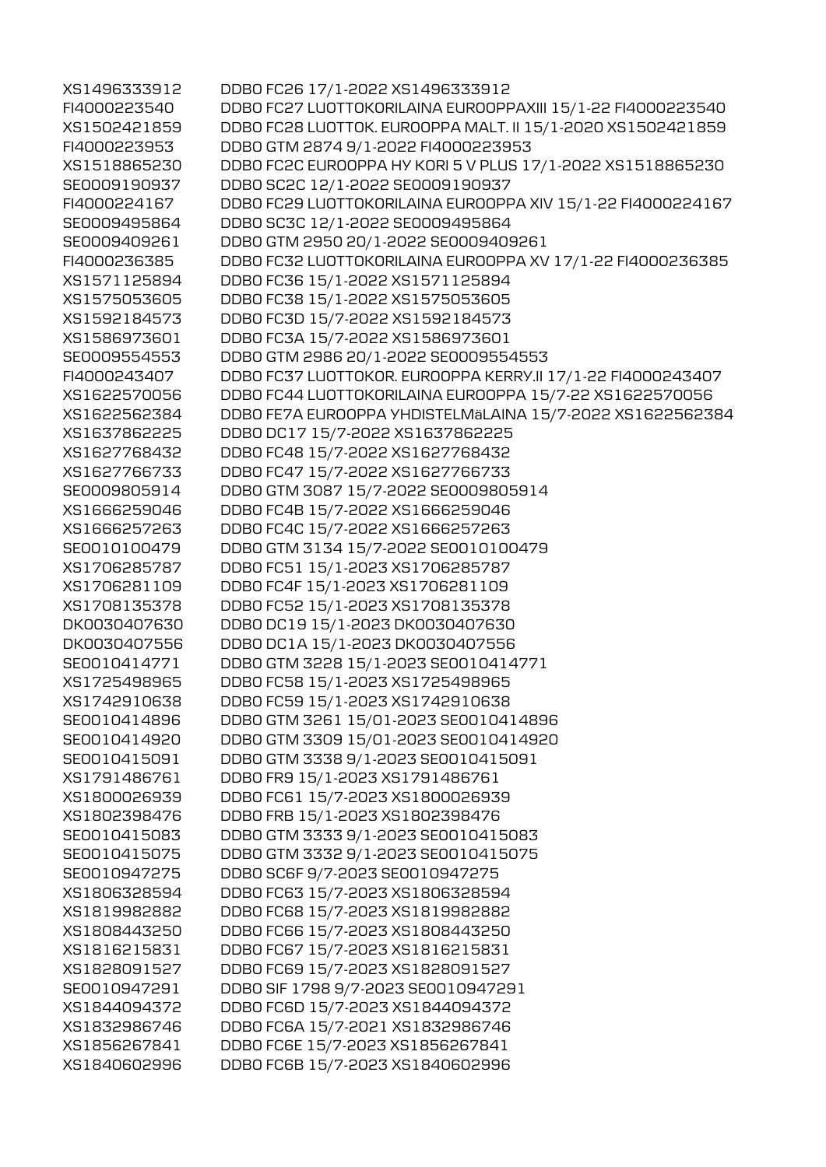XS1496333912 DDBO FC26 17/1-2022 XS1496333912 FI4000223540 DDBO FC27 LUOTTOKORILAINA EUROOPPAXIII 15/1-22 FI4000223540 XS1502421859 DDBO FC28 LUOTTOK. EUROOPPA MALT. II 15/1-2020 XS1502421859 FI4000223953 DDBO GTM 2874 9/1-2022 FI4000223953 XS1518865230 DDBO FC2C EUROOPPA HY KORI 5 V PLUS 17/1-2022 XS1518865230 SE0009190937 DDBO SC2C 12/1-2022 SE0009190937 FI4000224167 DDBO FC29 LUOTTOKORILAINA EUROOPPA XIV 15/1-22 FI4000224167 SE0009495864 DDBO SC3C 12/1-2022 SE0009495864 SE0009409261 DDBO GTM 2950 20/1-2022 SE0009409261 FI4000236385 DDBO FC32 LUOTTOKORILAINA EUROOPPA XV 17/1-22 FI4000236385 XS1571125894 DDBO FC36 15/1-2022 XS1571125894 XS1575053605 DDBO FC38 15/1-2022 XS1575053605 XS1592184573 DDBO FC3D 15/7-2022 XS1592184573 XS1586973601 DDBO FC3A 15/7-2022 XS1586973601 SE0009554553 DDBO GTM 2986 20/1-2022 SE0009554553 FI4000243407 DDBO FC37 LUOTTOKOR. EUROOPPA KERRY.II 17/1-22 FI4000243407 XS1622570056 DDBO FC44 LUOTTOKORILAINA EUROOPPA 15/7-22 XS1622570056 XS1622562384 DDBO FE7A EUROOPPA YHDISTELMäLAINA 15/7-2022 XS1622562384 XS1637862225 DDBO DC17 15/7-2022 XS1637862225 XS1627768432 DDBO FC48 15/7-2022 XS1627768432 XS1627766733 DDBO FC47 15/7-2022 XS1627766733 SE0009805914 DDBO GTM 3087 15/7-2022 SE0009805914 XS1666259046 DDBO FC4B 15/7-2022 XS1666259046 XS1666257263 DDBO FC4C 15/7-2022 XS1666257263 SE0010100479 DDBO GTM 3134 15/7-2022 SE0010100479 XS1706285787 DDBO FC51 15/1-2023 XS1706285787 XS1706281109 DDBO FC4F 15/1-2023 XS1706281109 XS1708135378 DDBO FC52 15/1-2023 XS1708135378 DK0030407630 DDBO DC19 15/1-2023 DK0030407630 DK0030407556 DDBO DC1A 15/1-2023 DK0030407556 SE0010414771 DDBO GTM 3228 15/1-2023 SE0010414771 XS1725498965 DDBO FC58 15/1-2023 XS1725498965 XS1742910638 DDBO FC59 15/1-2023 XS1742910638 SE0010414896 DDBO GTM 3261 15/01-2023 SE0010414896 SE0010414920 DDBO GTM 3309 15/01-2023 SE0010414920 SE0010415091 DDBO GTM 3338 9/1-2023 SE0010415091 XS1791486761 DDBO FR9 15/1-2023 XS1791486761 XS1800026939 DDBO FC61 15/7-2023 XS1800026939 XS1802398476 DDBO FRB 15/1-2023 XS1802398476 SE0010415083 DDBO GTM 3333 9/1-2023 SE0010415083 SE0010415075 DDBO GTM 3332 9/1-2023 SE0010415075 SE0010947275 DDBO SC6F 9/7-2023 SE0010947275 XS1806328594 DDBO FC63 15/7-2023 XS1806328594 XS1819982882 DDBO FC68 15/7-2023 XS1819982882 XS1808443250 DDBO FC66 15/7-2023 XS1808443250 XS1816215831 DDBO FC67 15/7-2023 XS1816215831 XS1828091527 DDBO FC69 15/7-2023 XS1828091527 SE0010947291 DDBO SIF 1798 9/7-2023 SE0010947291 XS1844094372 DDBO FC6D 15/7-2023 XS1844094372 XS1832986746 DDBO FC6A 15/7-2021 XS1832986746 XS1856267841 DDBO FC6E 15/7-2023 XS1856267841 XS1840602996 DDBO FC6B 15/7-2023 XS1840602996